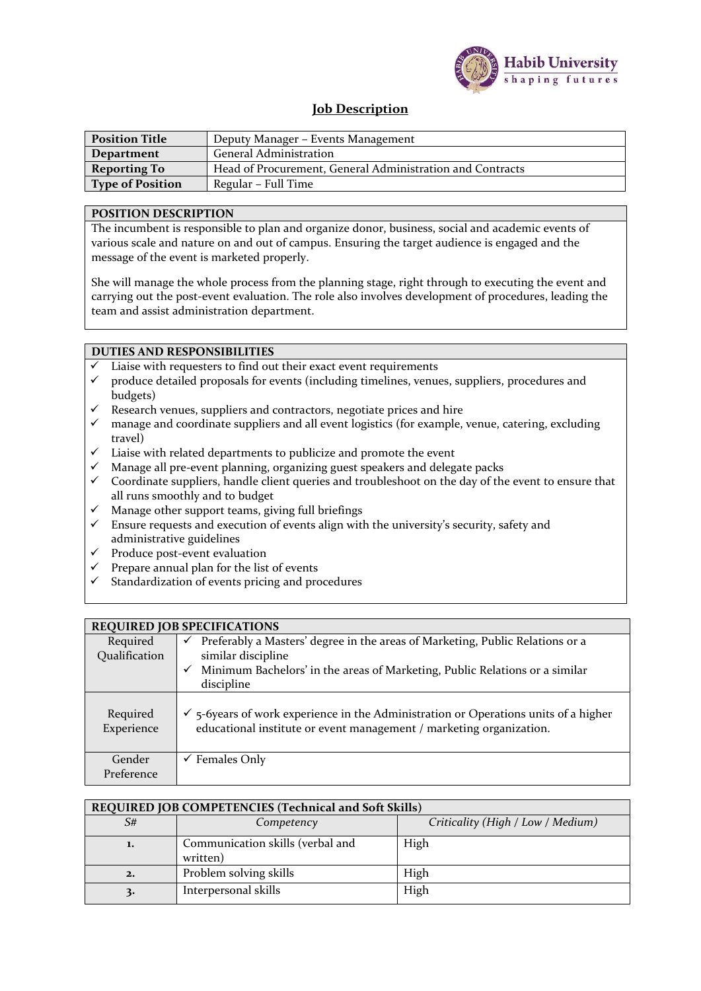

## **Job Description**

| <b>Position Title</b>   | Deputy Manager – Events Management                        |
|-------------------------|-----------------------------------------------------------|
| Department              | <b>General Administration</b>                             |
| <b>Reporting To</b>     | Head of Procurement, General Administration and Contracts |
| <b>Type of Position</b> | Regular – Full Time                                       |

## **POSITION DESCRIPTION**

The incumbent is responsible to plan and organize donor, business, social and academic events of various scale and nature on and out of campus. Ensuring the target audience is engaged and the message of the event is marketed properly.

She will manage the whole process from the planning stage, right through to executing the event and carrying out the post-event evaluation. The role also involves development of procedures, leading the team and assist administration department.

## **DUTIES AND RESPONSIBILITIES**

- Liaise with requesters to find out their exact event requirements
- produce detailed proposals for events (including timelines, venues, suppliers, procedures and budgets)
- $\checkmark$  Research venues, suppliers and contractors, negotiate prices and hire
- $\checkmark$  manage and coordinate suppliers and all event logistics (for example, venue, catering, excluding travel)
- Liaise with related departments to publicize and promote the event
- Manage all pre-event planning, organizing guest speakers and delegate packs
- $\checkmark$  Coordinate suppliers, handle client queries and troubleshoot on the day of the event to ensure that all runs smoothly and to budget
- $\checkmark$  Manage other support teams, giving full briefings  $\checkmark$  Fnsure requests and execution of events align with
- Ensure requests and execution of events align with the university's security, safety and administrative guidelines
- $\checkmark$  Produce post-event evaluation
- $\checkmark$  Prepare annual plan for the list of events
- $\checkmark$  Standardization of events pricing and procedures

| <b>REQUIRED JOB SPECIFICATIONS</b> |                                                                                                                                                                                                            |  |
|------------------------------------|------------------------------------------------------------------------------------------------------------------------------------------------------------------------------------------------------------|--|
| Required<br>Qualification          | Preferably a Masters' degree in the areas of Marketing, Public Relations or a<br>✓<br>similar discipline<br>Minimum Bachelors' in the areas of Marketing, Public Relations or a similar<br>✓<br>discipline |  |
| Required<br>Experience             | $\checkmark$ 5-6 years of work experience in the Administration or Operations units of a higher<br>educational institute or event management / marketing organization.                                     |  |
| Gender<br>Preference               | $\checkmark$ Females Only                                                                                                                                                                                  |  |

## **REQUIRED JOB COMPETENCIES (Technical and Soft Skills)**

| S# | Competency                                   | Criticality (High / Low / Medium) |
|----|----------------------------------------------|-----------------------------------|
| 1. | Communication skills (verbal and<br>written) | High                              |
| 2. | Problem solving skills                       | High                              |
| ≺. | Interpersonal skills                         | High                              |